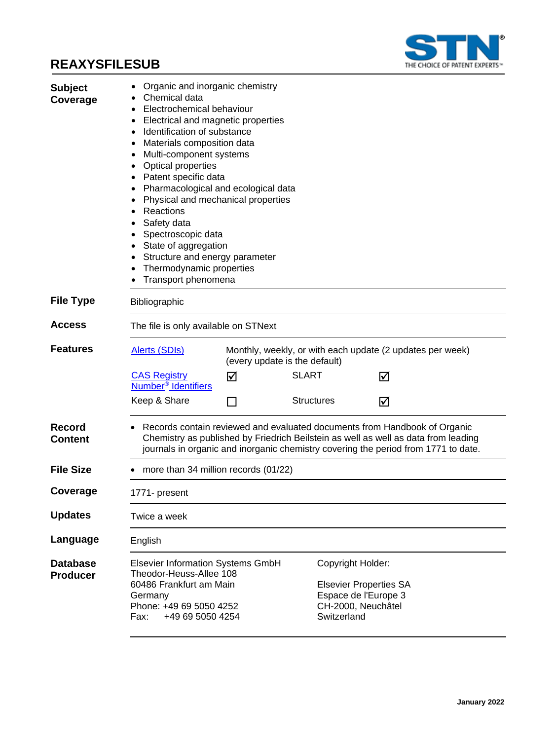## **REAXYSFILESUB**



| <b>Subject</b><br>Coverage  | Organic and inorganic chemistry<br>Chemical data<br>Electrochemical behaviour<br>٠<br>Electrical and magnetic properties<br>٠<br>Identification of substance<br>$\bullet$<br>Materials composition data<br>Multi-component systems<br><b>Optical properties</b><br>Patent specific data<br>Pharmacological and ecological data<br>Physical and mechanical properties<br>Reactions<br>Safety data<br>Spectroscopic data<br>State of aggregation<br>Structure and energy parameter<br>Thermodynamic properties<br>Transport phenomena |                                      |                                  |                                                                             |  |
|-----------------------------|-------------------------------------------------------------------------------------------------------------------------------------------------------------------------------------------------------------------------------------------------------------------------------------------------------------------------------------------------------------------------------------------------------------------------------------------------------------------------------------------------------------------------------------|--------------------------------------|----------------------------------|-----------------------------------------------------------------------------|--|
| <b>File Type</b>            | Bibliographic                                                                                                                                                                                                                                                                                                                                                                                                                                                                                                                       |                                      |                                  |                                                                             |  |
| Access                      | The file is only available on STNext                                                                                                                                                                                                                                                                                                                                                                                                                                                                                                |                                      |                                  |                                                                             |  |
| <b>Features</b>             | <b>Alerts (SDIs)</b><br>Monthly, weekly, or with each update (2 updates per week)<br>(every update is the default)                                                                                                                                                                                                                                                                                                                                                                                                                  |                                      |                                  |                                                                             |  |
|                             | <b>CAS Registry</b><br>Number <sup>®</sup> Identifiers                                                                                                                                                                                                                                                                                                                                                                                                                                                                              | ☑                                    | <b>SLART</b>                     | ☑                                                                           |  |
|                             | Keep & Share                                                                                                                                                                                                                                                                                                                                                                                                                                                                                                                        |                                      | <b>Structures</b>                | ☑                                                                           |  |
| Record<br>Content           | Records contain reviewed and evaluated documents from Handbook of Organic<br>Chemistry as published by Friedrich Beilstein as well as well as data from leading<br>journals in organic and inorganic chemistry covering the period from 1771 to date.                                                                                                                                                                                                                                                                               |                                      |                                  |                                                                             |  |
| <b>File Size</b>            |                                                                                                                                                                                                                                                                                                                                                                                                                                                                                                                                     | more than 34 million records (01/22) |                                  |                                                                             |  |
| Coverage                    | 1771- present                                                                                                                                                                                                                                                                                                                                                                                                                                                                                                                       |                                      |                                  |                                                                             |  |
| <b>Updates</b>              | Twice a week                                                                                                                                                                                                                                                                                                                                                                                                                                                                                                                        |                                      |                                  |                                                                             |  |
| Language                    | English                                                                                                                                                                                                                                                                                                                                                                                                                                                                                                                             |                                      |                                  |                                                                             |  |
| Database<br><b>Producer</b> | <b>Elsevier Information Systems GmbH</b><br>Theodor-Heuss-Allee 108<br>60486 Frankfurt am Main<br>Germany<br>Phone: +49 69 5050 4252<br>+49 69 5050 4254<br>Fax:                                                                                                                                                                                                                                                                                                                                                                    |                                      | Copyright Holder:<br>Switzerland | <b>Elsevier Properties SA</b><br>Espace de l'Europe 3<br>CH-2000, Neuchâtel |  |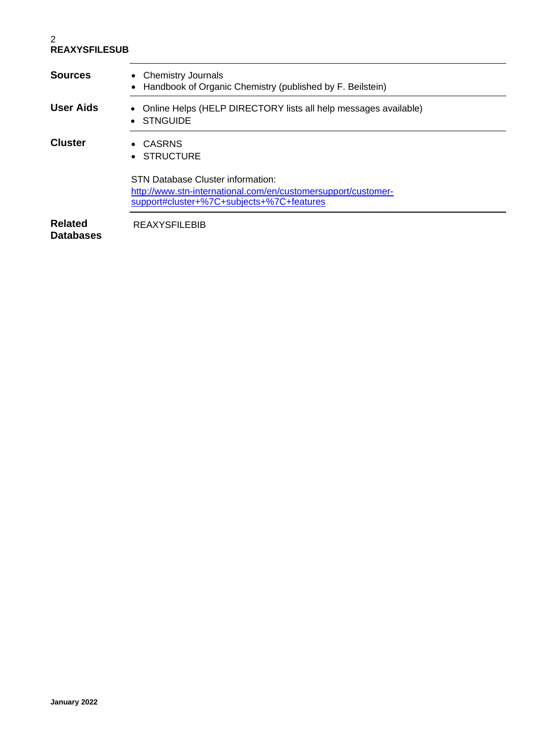#### 2 **REAXYSFILESUB**

| <b>Sources</b>                     | • Chemistry Journals<br>Handbook of Organic Chemistry (published by F. Beilstein)                                                               |  |  |  |  |
|------------------------------------|-------------------------------------------------------------------------------------------------------------------------------------------------|--|--|--|--|
| User Aids                          | Online Helps (HELP DIRECTORY lists all help messages available)<br>$\bullet$<br><b>STNGUIDE</b><br>$\bullet$                                    |  |  |  |  |
| <b>Cluster</b>                     | • CASRNS<br>• STRUCTURE                                                                                                                         |  |  |  |  |
|                                    | STN Database Cluster information:<br>http://www.stn-international.com/en/customersupport/customer-<br>support#cluster+%7C+subjects+%7C+features |  |  |  |  |
| <b>Related</b><br><b>Databases</b> | <b>REAXYSFILEBIB</b>                                                                                                                            |  |  |  |  |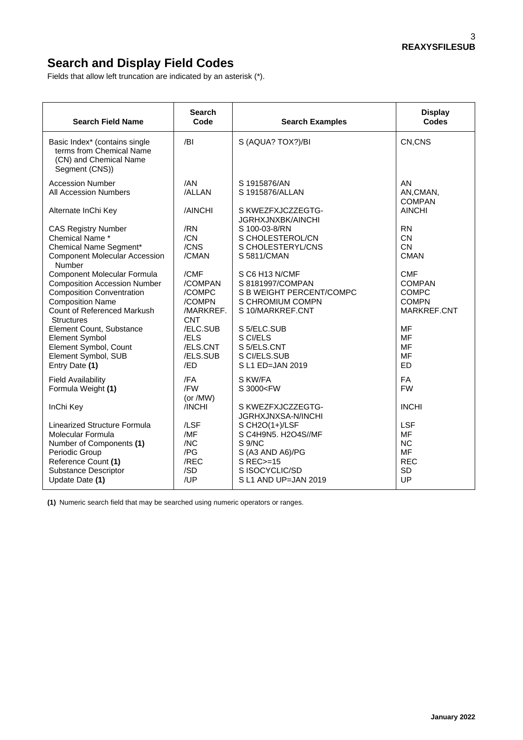## **Search and Display Field Codes**

Fields that allow left truncation are indicated by an asterisk (\*).

| <b>Search Field Name</b>                                                                              | <b>Search</b><br>Code | <b>Search Examples</b>                        | <b>Display</b><br><b>Codes</b>          |
|-------------------------------------------------------------------------------------------------------|-----------------------|-----------------------------------------------|-----------------------------------------|
| Basic Index* (contains single<br>terms from Chemical Name<br>(CN) and Chemical Name<br>Segment (CNS)) | /BI                   | S (AQUA? TOX?)/BI                             | CN,CNS                                  |
| <b>Accession Number</b><br><b>All Accession Numbers</b>                                               | /AN<br>/ALLAN         | S 1915876/AN<br>S 1915876/ALLAN               | <b>AN</b><br>AN, CMAN,<br><b>COMPAN</b> |
| Alternate InChi Key                                                                                   | /AINCHI               | S KWEZFXJCZZEGTG-<br><b>JGRHXJNXBK/AINCHI</b> | <b>AINCHI</b>                           |
| <b>CAS Registry Number</b>                                                                            | /RN                   | S 100-03-8/RN                                 | <b>RN</b>                               |
| Chemical Name *                                                                                       | /CN                   | S CHOLESTEROL/CN                              | <b>CN</b>                               |
| Chemical Name Segment*                                                                                | /CNS                  | S CHOLESTERYL/CNS                             | <b>CN</b>                               |
| <b>Component Molecular Accession</b><br>Number                                                        | /CMAN                 | S 5811/CMAN                                   | <b>CMAN</b>                             |
| Component Molecular Formula                                                                           | /CMF                  | S C6 H13 N/CMF                                | <b>CMF</b>                              |
| <b>Composition Accession Number</b>                                                                   | /COMPAN               | S 8181997/COMPAN                              | <b>COMPAN</b>                           |
| <b>Composition Conventration</b>                                                                      | /COMPC                | S B WEIGHT PERCENT/COMPC                      | <b>COMPC</b>                            |
| <b>Composition Name</b>                                                                               | /COMPN                | S CHROMIUM COMPN                              | <b>COMPN</b>                            |
| Count of Referenced Markush                                                                           | /MARKREF.             | S 10/MARKREF.CNT                              | MARKREF.CNT                             |
| <b>Structures</b>                                                                                     | <b>CNT</b>            |                                               |                                         |
| Element Count, Substance                                                                              | /ELC.SUB              | S 5/ELC.SUB                                   | <b>MF</b>                               |
| <b>Element Symbol</b>                                                                                 | /ELS                  | S CI/ELS                                      | MF                                      |
| Element Symbol, Count                                                                                 | /ELS.CNT              | S 5/ELS.CNT                                   | MF                                      |
| Element Symbol, SUB                                                                                   | /ELS.SUB              | S CI/ELS.SUB                                  | MF                                      |
| Entry Date (1)                                                                                        | /ED                   | S L1 ED=JAN 2019                              | <b>ED</b>                               |
| <b>Field Availability</b>                                                                             | /FA                   | S KW/FA                                       | FA                                      |
| Formula Weight (1)                                                                                    | /FW                   | S 3000 <fw< td=""><td><b>FW</b></td></fw<>    | <b>FW</b>                               |
|                                                                                                       | (or /MW)              |                                               |                                         |
| InChi Key                                                                                             | /INCHI                | S KWEZFXJCZZEGTG-                             | <b>INCHI</b>                            |
| Linearized Structure Formula                                                                          | /LSF                  | JGRHXJNXSA-N/INCHI<br>S CH2O(1+)/LSF          | LSF                                     |
| Molecular Formula                                                                                     | /MF                   | S C4H9N5. H2O4S//MF                           | <b>MF</b>                               |
| Number of Components (1)                                                                              | /NC                   | S 9/NC                                        | <b>NC</b>                               |
| Periodic Group                                                                                        | /PG                   | S (A3 AND A6)/PG                              | <b>MF</b>                               |
| Reference Count (1)                                                                                   | /REC                  | S REC>=15                                     | <b>REC</b>                              |
| <b>Substance Descriptor</b>                                                                           | /SD                   | S ISOCYCLIC/SD                                | <b>SD</b>                               |
| Update Date (1)                                                                                       | /UP                   | S L1 AND UP=JAN 2019                          | UP                                      |
|                                                                                                       |                       |                                               |                                         |

**(1)** Numeric search field that may be searched using numeric operators or ranges.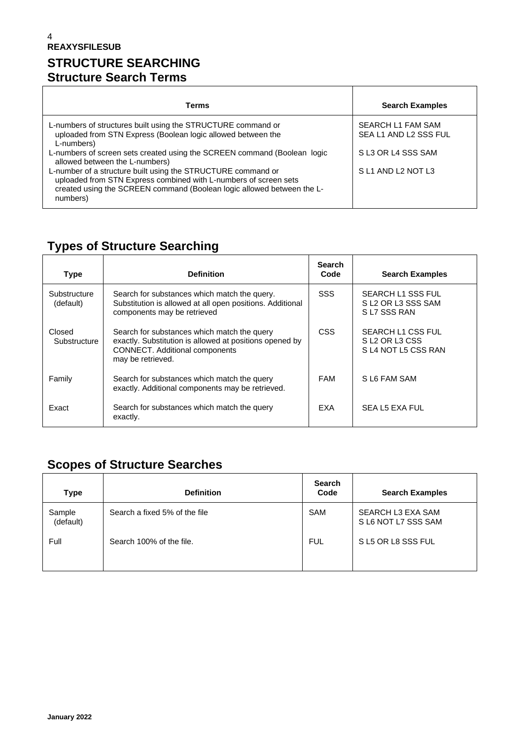### 4 **REAXYSFILESUB STRUCTURE SEARCHING Structure Search Terms**

| Terms                                                                                                                                                                                                                  | <b>Search Examples</b> |
|------------------------------------------------------------------------------------------------------------------------------------------------------------------------------------------------------------------------|------------------------|
|                                                                                                                                                                                                                        |                        |
| L-numbers of structures built using the STRUCTURE command or                                                                                                                                                           | SEARCH L1 FAM SAM      |
| uploaded from STN Express (Boolean logic allowed between the<br>L-numbers)                                                                                                                                             | SEA L1 AND L2 SSS FUL  |
| L-numbers of screen sets created using the SCREEN command (Boolean logic<br>allowed between the L-numbers)                                                                                                             | S L3 OR L4 SSS SAM     |
| L-number of a structure built using the STRUCTURE command or<br>uploaded from STN Express combined with L-numbers of screen sets<br>created using the SCREEN command (Boolean logic allowed between the L-<br>numbers) | SL1 AND L2 NOT L3      |

# **Types of Structure Searching**

| <b>Type</b>               | <b>Definition</b>                                                                                                                                                    | <b>Search</b><br>Code | <b>Search Examples</b>                                                           |
|---------------------------|----------------------------------------------------------------------------------------------------------------------------------------------------------------------|-----------------------|----------------------------------------------------------------------------------|
| Substructure<br>(default) | Search for substances which match the query.<br>Substitution is allowed at all open positions. Additional<br>components may be retrieved                             | <b>SSS</b>            | SEARCH L1 SSS FUL<br>S L2 OR L3 SSS SAM<br>SL7 SSS RAN                           |
| Closed<br>Substructure    | Search for substances which match the query<br>exactly. Substitution is allowed at positions opened by<br><b>CONNECT.</b> Additional components<br>may be retrieved. | <b>CSS</b>            | SEARCH L1 CSS FUL<br>SL <sub>2</sub> OR L <sub>3</sub> CSS<br>SL4 NOT L5 CSS RAN |
| Family                    | Search for substances which match the query<br>exactly. Additional components may be retrieved.                                                                      | <b>FAM</b>            | S L6 FAM SAM                                                                     |
| Exact                     | Search for substances which match the query<br>exactly.                                                                                                              | <b>FXA</b>            | SEA L5 EXA FUL                                                                   |

# **Scopes of Structure Searches**

| <b>Type</b>         | <b>Definition</b>             | <b>Search</b><br>Code | <b>Search Examples</b>                   |
|---------------------|-------------------------------|-----------------------|------------------------------------------|
| Sample<br>(default) | Search a fixed 5% of the file | SAM                   | SEARCH L3 EXA SAM<br>S L6 NOT L7 SSS SAM |
| Full                | Search 100% of the file.      | <b>FUL</b>            | SL5 OR L8 SSS FUL                        |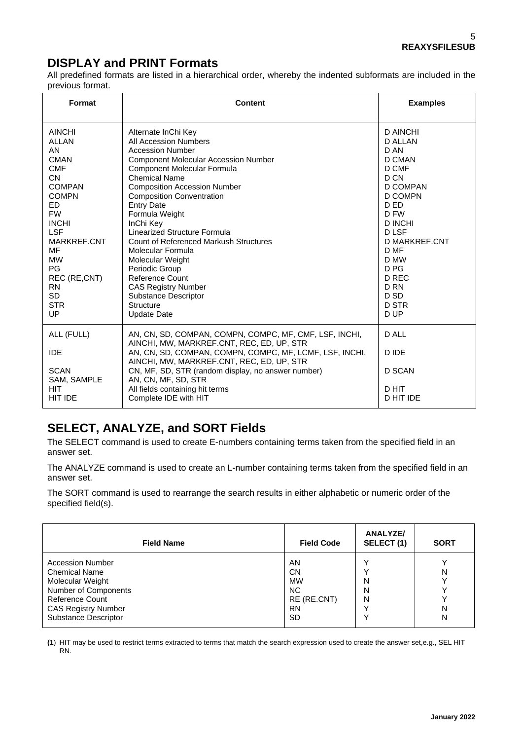## **DISPLAY and PRINT Formats**

All predefined formats are listed in a hierarchical order, whereby the indented subformats are included in the previous format.

| Format                                                                                                                                                                                                                                                                 | Content                                                                                                                                                                                                                                                                                                                                                                                                                                                                                                                                                                     | <b>Examples</b>                                                                                                                                                                                                                         |
|------------------------------------------------------------------------------------------------------------------------------------------------------------------------------------------------------------------------------------------------------------------------|-----------------------------------------------------------------------------------------------------------------------------------------------------------------------------------------------------------------------------------------------------------------------------------------------------------------------------------------------------------------------------------------------------------------------------------------------------------------------------------------------------------------------------------------------------------------------------|-----------------------------------------------------------------------------------------------------------------------------------------------------------------------------------------------------------------------------------------|
| <b>AINCHI</b><br><b>ALLAN</b><br>AN<br><b>CMAN</b><br><b>CMF</b><br><b>CN</b><br><b>COMPAN</b><br><b>COMPN</b><br>ED.<br><b>FW</b><br><b>INCHI</b><br><b>LSF</b><br>MARKREF.CNT<br>MF<br><b>MW</b><br>PG<br>REC (RE,CNT)<br><b>RN</b><br><b>SD</b><br><b>STR</b><br>UP | Alternate InChi Key<br>All Accession Numbers<br><b>Accession Number</b><br><b>Component Molecular Accession Number</b><br>Component Molecular Formula<br><b>Chemical Name</b><br><b>Composition Accession Number</b><br><b>Composition Conventration</b><br><b>Entry Date</b><br>Formula Weight<br>InChi Key<br>Linearized Structure Formula<br><b>Count of Referenced Markush Structures</b><br>Molecular Formula<br>Molecular Weight<br>Periodic Group<br>Reference Count<br><b>CAS Registry Number</b><br><b>Substance Descriptor</b><br>Structure<br><b>Update Date</b> | D AINCHI<br>D ALLAN<br>D AN<br>D CMAN<br>D CMF<br>D CN<br>D COMPAN<br>D COMPN<br>D ED<br>D FW<br><b>D INCHI</b><br><b>DLSF</b><br>D MARKREF.CNT<br>D MF<br>D MW<br>D <sub>PG</sub><br>D REC<br>D <sub>RN</sub><br>D SD<br>D STR<br>D UP |
| ALL (FULL)<br><b>IDE</b><br><b>SCAN</b><br>SAM, SAMPLE<br><b>HIT</b><br>HIT IDE                                                                                                                                                                                        | AN, CN, SD, COMPAN, COMPN, COMPC, MF, CMF, LSF, INCHI,<br>AINCHI, MW, MARKREF.CNT, REC, ED, UP, STR<br>AN, CN, SD, COMPAN, COMPN, COMPC, MF, LCMF, LSF, INCHI,<br>AINCHI, MW, MARKREF.CNT, REC, ED, UP, STR<br>CN, MF, SD, STR (random display, no answer number)<br>AN, CN, MF, SD, STR<br>All fields containing hit terms<br>Complete IDE with HIT                                                                                                                                                                                                                        | D ALL<br>D IDE<br><b>D SCAN</b><br>D HIT<br>D HIT IDE                                                                                                                                                                                   |

## **SELECT, ANALYZE, and SORT Fields**

The SELECT command is used to create E-numbers containing terms taken from the specified field in an answer set.

The ANALYZE command is used to create an L-number containing terms taken from the specified field in an answer set.

The SORT command is used to rearrange the search results in either alphabetic or numeric order of the specified field(s).

| <b>Field Name</b>                                                                                                                                                                                                                     | <b>ANALYZE/</b><br>SELECT(1)<br><b>Field Code</b> | <b>SORT</b> |
|---------------------------------------------------------------------------------------------------------------------------------------------------------------------------------------------------------------------------------------|---------------------------------------------------|-------------|
| <b>Accession Number</b><br>AN<br><b>Chemical Name</b><br>CΝ<br>Molecular Weight<br><b>MW</b><br><b>NC</b><br>Number of Components<br>Reference Count<br><b>CAS Registry Number</b><br><b>RN</b><br><b>Substance Descriptor</b><br>SD. | N<br>N<br>RE (RE.CNT)<br>Ν                        | N<br>N<br>N |

**(1**) HIT may be used to restrict terms extracted to terms that match the search expression used to create the answer set,e.g., SEL HIT RN.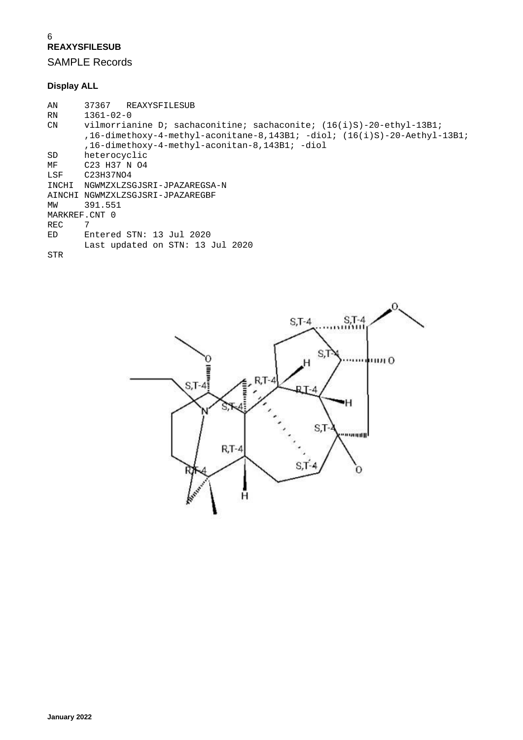#### 6 **REAXYSFILESUB**

SAMPLE Records

### **Display ALL**

```
AN 37367 REAXYSFILESUB<br>RN 1361-02-0
RN 1361-02-0<br>CN vilmorrial
        vilmorrianine D; sachaconitine; sachaconite; (16(i)S)-20-ethyl-13B1;
         ,16-dimethoxy-4-methyl-aconitane-8,143B1; -diol; (16(i)S)-20-Aethyl-13B1;
 ,16-dimethoxy-4-methyl-aconitan-8,143B1; -diol
SD heterocyclic<br>MF C23 H37 N 04
MF C23 H37 N 04<br>LSF C23H37N04
        C23H37NO4
INCHI NGWMZXLZSGJSRI-JPAZAREGSA-N
AINCHI NGWMZXLZSGJSRI-JPAZAREGBF
        MW 391.551
MARKREF.CNT 0<br>REC 7
REC<br>ED
        Entered STN: 13 Jul 2020
         Last updated on STN: 13 Jul 2020
STR
```
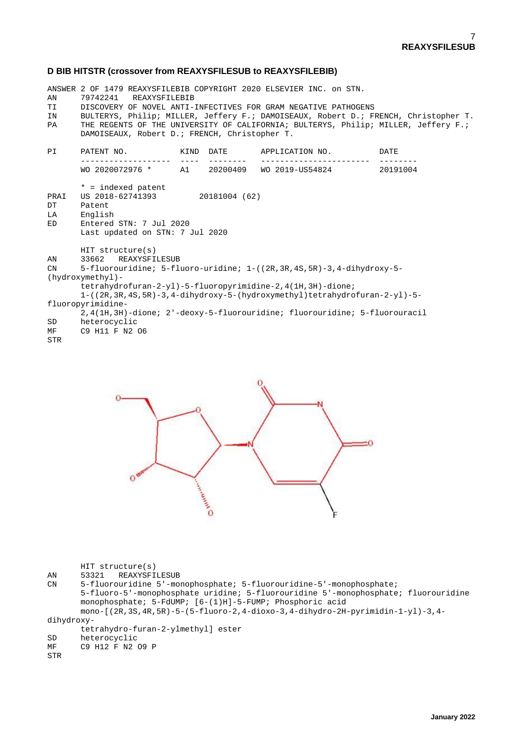#### **D BIB HITSTR (crossover from REAXYSFILESUB to REAXYSFILEBIB)**

ANSWER 2 OF 1479 REAXYSFILEBIB COPYRIGHT 2020 ELSEVIER INC. on STN.<br>AN 79742241 REAXYSFILEBIB AN 79742241 REAXYSFILEBIB<br>TI DISCOVERY OF NOVEL ANTI-TI DISCOVERY OF NOVEL ANTI-INFECTIVES FOR GRAM NEGATIVE PATHOGENS<br>IN BULTERYS, Philip; MILLER, Jeffery F.; DAMOISEAUX, Robert D.; F. IN BULTERYS, Philip; MILLER, Jeffery F.; DAMOISEAUX, Robert D.; FRENCH, Christopher T. THE REGENTS OF THE UNIVERSITY OF CALIFORNIA; BULTERYS, Philip; MILLER, Jeffery F.; DAMOISEAUX, Robert D.; FRENCH, Christopher T. **DT** PI PATENT NO. KIND DATE APPLICATION NO. DATE ------------------- ---- -------- ----------------------- -------- WO 2020072976 \* A1 20200409 WO 2019-US54824 20191004  $*$  = indexed patent<br>PRAI US 2018-62741393 PRAI US 2018-62741393 20181004 (62) DT Patent<br>LA English LA English<br>ED Entered Entered STN: 7 Jul 2020 Last updated on STN: 7 Jul 2020 HIT structure(s)<br>AN 33662 REAXYSFI AN 33662 REAXYSFILESUB<br>CN 5-fluorouridine; 5-fl CN 5-fluorouridine; 5-fluoro-uridine; 1-((2R,3R,4S,5R)-3,4-dihydroxy-5- (hydroxymethyl) tetrahydrofuran-2-yl)-5-fluoropyrimidine-2,4(1H,3H)-dione; 1-((2R,3R,4S,5R)-3,4-dihydroxy-5-(hydroxymethyl)tetrahydrofuran-2-yl)-5 fluoropyrimidine- 2,4(1H,3H)-dione; 2'-deoxy-5-fluorouridine; fluorouridine; 5-fluorouracil SD heterocyclic<br>MF C9 H11 F N2 C9 H11 F N2 06 STR



|  | $HIT$ structure(s) |
|--|--------------------|
|--|--------------------|

AN 53321 REAXYSFILESUB<br>
CN 5-fluorouridine 5'-mo

5-fluorouridine 5'-monophosphate; 5-fluorouridine-5'-monophosphate; 5-fluoro-5'-monophosphate uridine; 5-fluorouridine 5'-monophosphate; fluorouridine monophosphate; 5-FdUMP; [6-(1)H]-5-FUMP; Phosphoric acid mono-[(2R,3S,4R,5R)-5-(5-fluoro-2,4-dioxo-3,4-dihydro-2H-pyrimidin-1-yl)-3,4-

dihydroxy-

```
 tetrahydro-furan-2-ylmethyl] ester
SD heterocyclic<br>MF C9 H12 F N2
       C9 H12 F N2 O9 P
```

```
STR
```